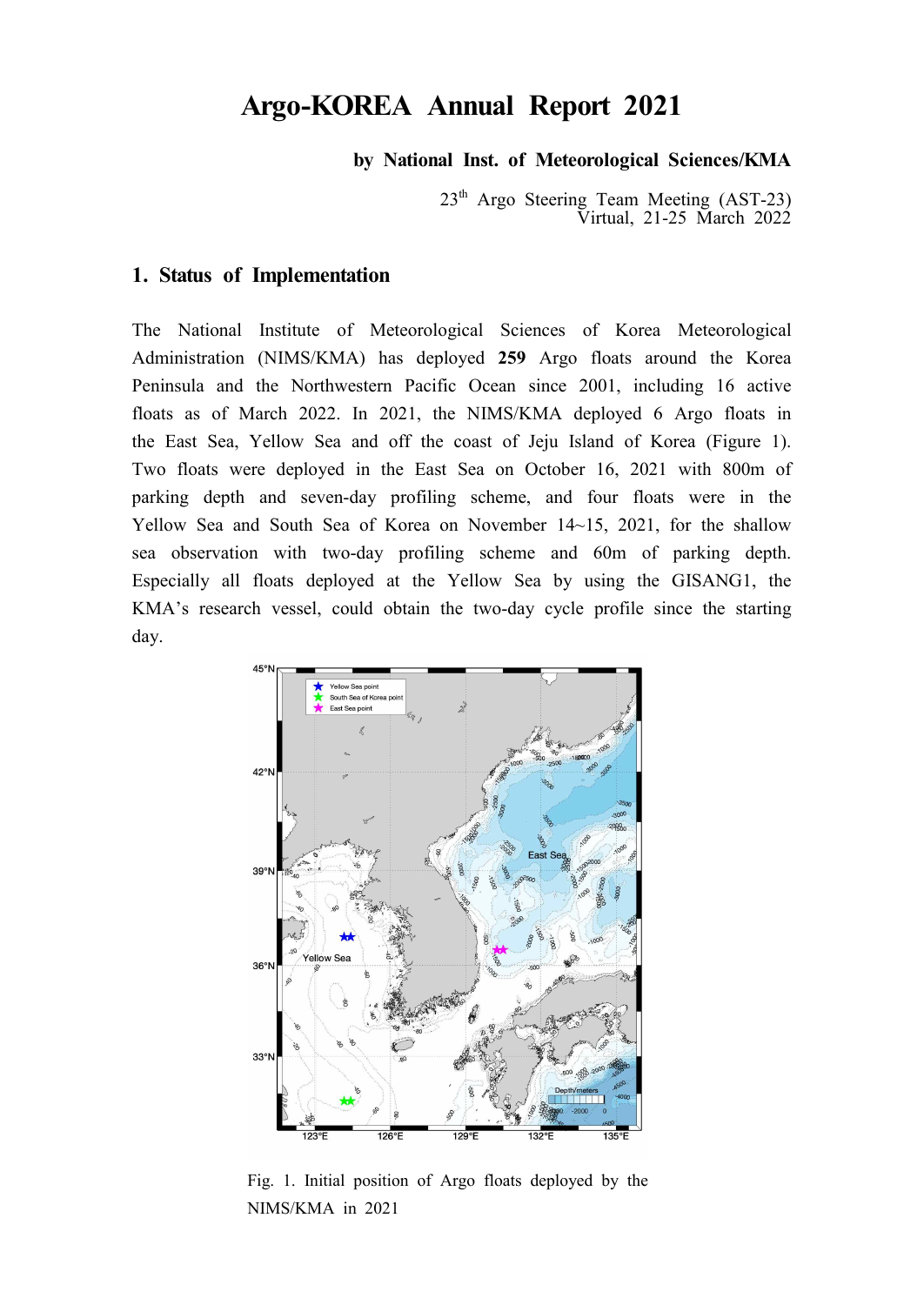# **Argo-KOREA Annual Report 2021**

**by National Inst. of Meteorological Sciences/KMA**

23<sup>th</sup> Argo Steering Team Meeting (AST-23) Virtual, 21-25 March 2022

#### **1. Status of Implementation**

The National Institute of Meteorological Sciences of Korea Meteorological Administration (NIMS/KMA) has deployed **259** Argo floats around the Korea Peninsula and the Northwestern Pacific Ocean since 2001, including 16 active floats as of March 2022. In 2021, the NIMS/KMA deployed 6 Argo floats in the East Sea, Yellow Sea and off the coast of Jeju Island of Korea (Figure 1). Two floats were deployed in the East Sea on October 16, 2021 with 800m of parking depth and seven-day profiling scheme, and four floats were in the Yellow Sea and South Sea of Korea on November 14~15, 2021, for the shallow sea observation with two-day profiling scheme and 60m of parking depth. Especially all floats deployed at the Yellow Sea by using the GISANG1, the KMA's research vessel, could obtain the two-day cycle profile since the starting day.



Fig. 1. Initial position of Argo floats deployed by the NIMS/KMA in 2021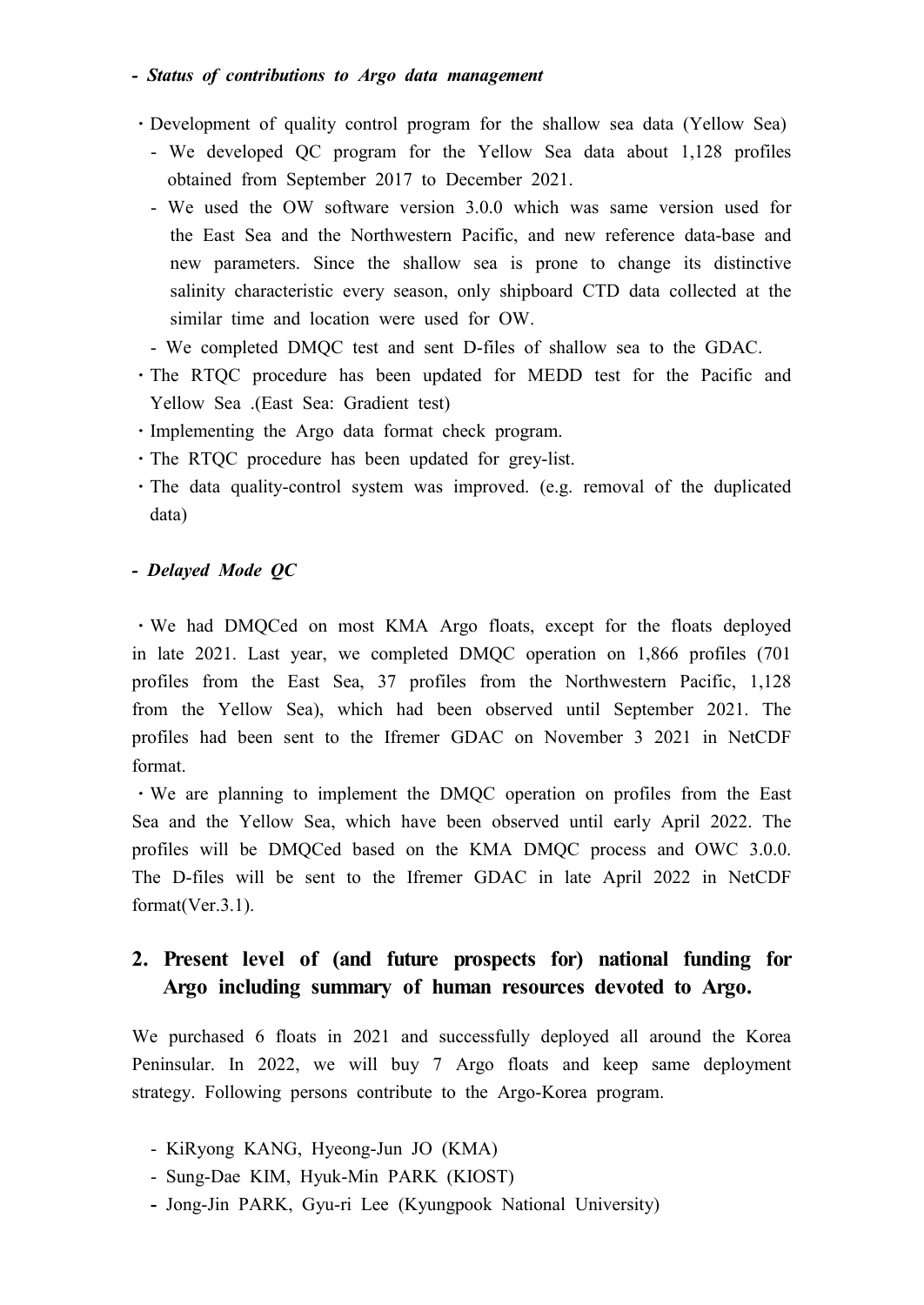### *- Status of contributions to Argo data management*

- ⋅Development of quality control program for the shallow sea data (Yellow Sea) - We developed QC program for the Yellow Sea data about 1,128 profiles obtained from September 2017 to December 2021.
	- We used the OW software version 3.0.0 which was same version used for the East Sea and the Northwestern Pacific, and new reference data-base and new parameters. Since the shallow sea is prone to change its distinctive salinity characteristic every season, only shipboard CTD data collected at the similar time and location were used for OW.
	- We completed DMQC test and sent D-files of shallow sea to the GDAC.
- ⋅The RTQC procedure has been updated for MEDD test for the Pacific and Yellow Sea .(East Sea: Gradient test)
- ⋅Implementing the Argo data format check program.
- ⋅The RTQC procedure has been updated for grey-list.
- ⋅The data quality-control system was improved. (e.g. removal of the duplicated data)

### *- Delayed Mode QC*

⋅We had DMQCed on most KMA Argo floats, except for the floats deployed in late 2021. Last year, we completed DMQC operation on 1,866 profiles (701 profiles from the East Sea, 37 profiles from the Northwestern Pacific, 1,128 from the Yellow Sea), which had been observed until September 2021. The profiles had been sent to the Ifremer GDAC on November 3 2021 in NetCDF format.

⋅We are planning to implement the DMQC operation on profiles from the East Sea and the Yellow Sea, which have been observed until early April 2022. The profiles will be DMQCed based on the KMA DMQC process and OWC 3.0.0. The D-files will be sent to the Ifremer GDAC in late April 2022 in NetCDF format(Ver.3.1).

# **2. Present level of (and future prospects for) national funding for Argo including summary of human resources devoted to Argo.**

We purchased 6 floats in 2021 and successfully deployed all around the Korea Peninsular. In 2022, we will buy 7 Argo floats and keep same deployment strategy. Following persons contribute to the Argo-Korea program.

- KiRyong KANG, Hyeong-Jun JO (KMA)
- Sung-Dae KIM, Hyuk-Min PARK (KIOST)
- Jong-Jin PARK, Gyu-ri Lee (Kyungpook National University)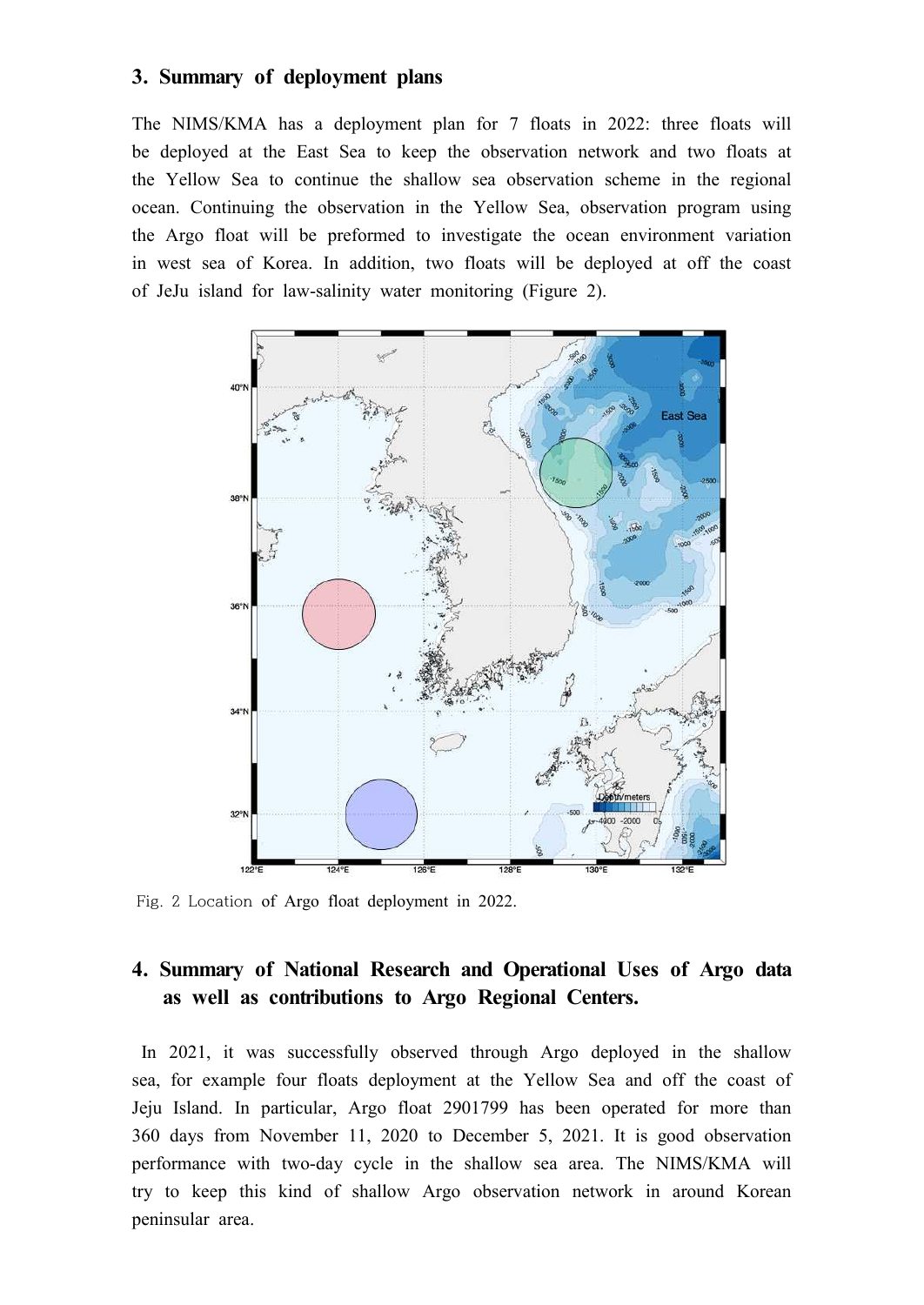### **3. Summary of deployment plans**

The NIMS/KMA has a deployment plan for 7 floats in 2022: three floats will be deployed at the East Sea to keep the observation network and two floats at the Yellow Sea to continue the shallow sea observation scheme in the regional ocean. Continuing the observation in the Yellow Sea, observation program using the Argo float will be preformed to investigate the ocean environment variation in west sea of Korea. In addition, two floats will be deployed at off the coast of JeJu island for law-salinity water monitoring (Figure 2).



Fig. 2 Location of Argo float deployment in 2022.

### **4. Summary of National Research and Operational Uses of Argo data as well as contributions to Argo Regional Centers.**

In 2021, it was successfully observed through Argo deployed in the shallow sea, for example four floats deployment at the Yellow Sea and off the coast of Jeju Island. In particular, Argo float 2901799 has been operated for more than 360 days from November 11, 2020 to December 5, 2021. It is good observation performance with two-day cycle in the shallow sea area. The NIMS/KMA will try to keep this kind of shallow Argo observation network in around Korean peninsular area.